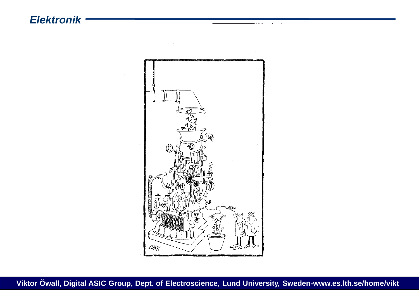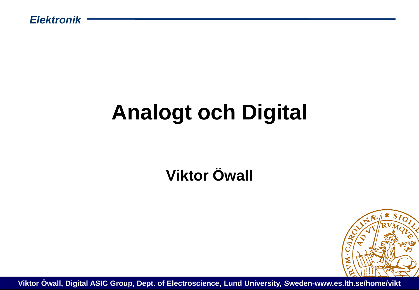## **Analogt och Digital**

#### **Viktor Öwall**

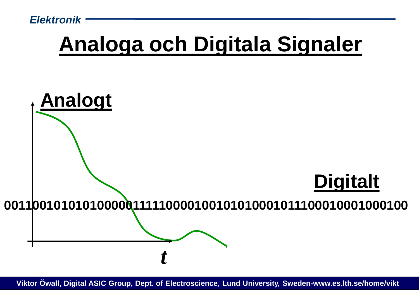## **Analoga och Digitala Signaler**

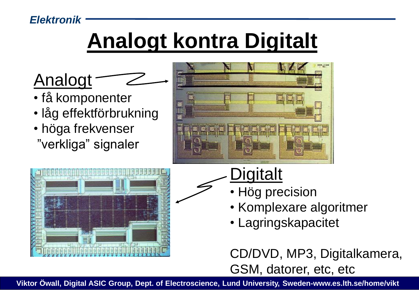## **Analogt kontra Digitalt**



- få komponenter
- låg effektförbrukning
- höga frekvenser
- "verkliga" signaler





### **Digitalt**

- Hög precision
- Komplexare algoritmer
- Lagringskapacitet

CD/DVD, MP3, Digitalkamera, GSM, datorer, etc, etc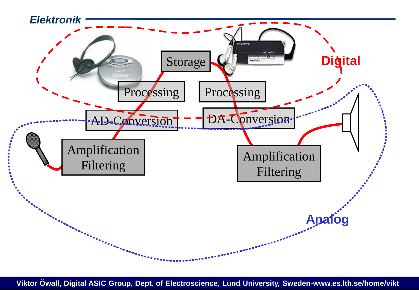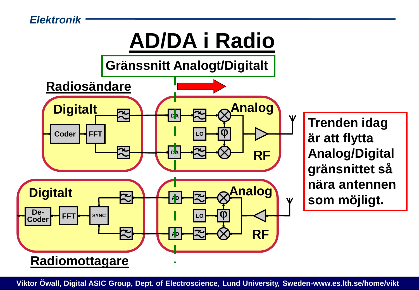

**Trenden idag är att flytta Analog/Digital gränsnittet så nära antennen som möjligt.**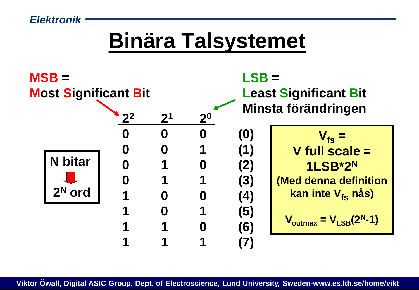### **Binära Talsystemet**

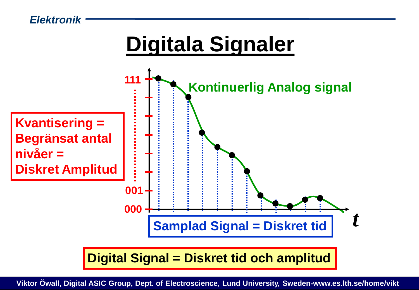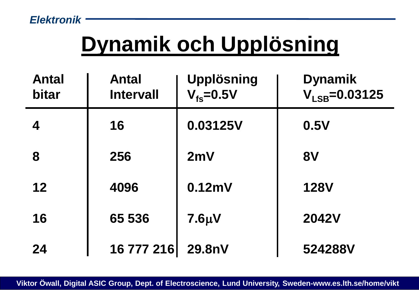## **Dynamik och Upplösning**

| <b>Antal</b><br>bitar | <b>Antal</b><br><b>Intervall</b> | <b>Upplösning</b><br>$V_{fs} = 0.5V$ | <b>Dynamik</b><br>$V_{LSB} = 0.03125$ |
|-----------------------|----------------------------------|--------------------------------------|---------------------------------------|
| 4                     | 16                               | 0.03125V                             | 0.5V                                  |
| 8                     | 256                              | 2mV                                  | <b>8V</b>                             |
| 12                    | 4096                             | 0.12mV                               | <b>128V</b>                           |
| 16                    | 65 536                           | $7.6 \mu V$                          | <b>2042V</b>                          |
| 24                    | 16 777 216                       | 29.8nV                               | 524288V                               |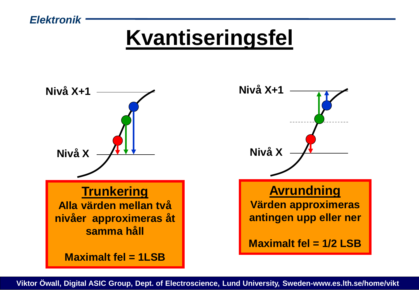## **Kvantiseringsfel**

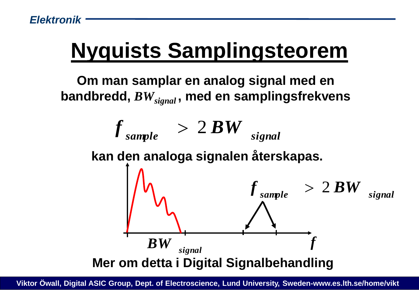## **Nyquists Samplingsteorem**

**Om man samplar en analog signal med en bandbredd,** *BWsignal* **, med en samplingsfrekvens**

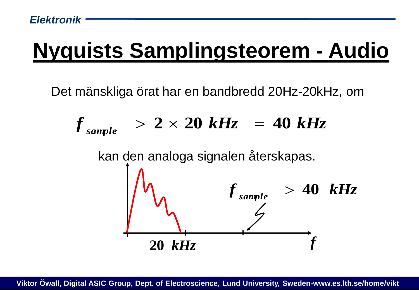## **Nyquists Samplingsteorem - Audio**

Det mänskliga örat har en bandbredd 20Hz-20kHz, om

$$
f_{\text{sample}} > 2 \times 20 \text{ kHz} = 40 \text{ kHz}
$$

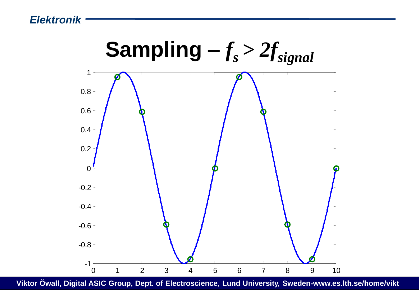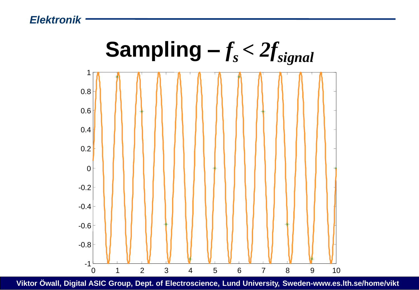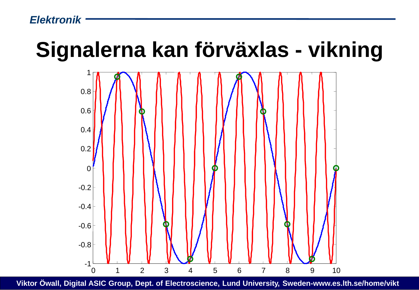### **Signalerna kan förväxlas - vikning**

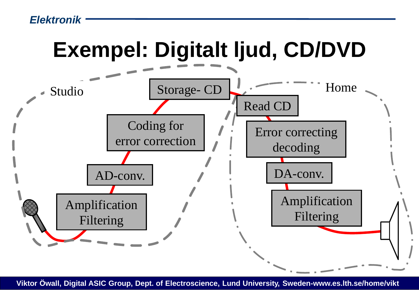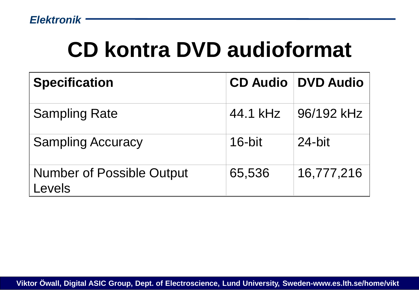## **CD kontra DVD audioformat**

| <b>Specification</b>                       |          | <b>CD Audio   DVD Audio</b> |
|--------------------------------------------|----------|-----------------------------|
| <b>Sampling Rate</b>                       | 44.1 kHz | 96/192 kHz                  |
| <b>Sampling Accuracy</b>                   | 16-bit   | $24$ -bit                   |
| <b>Number of Possible Output</b><br>Levels | 65,536   | 16,777,216                  |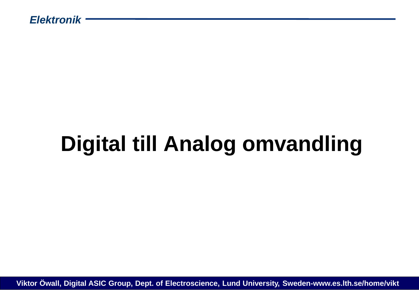# **Digital till Analog omvandling**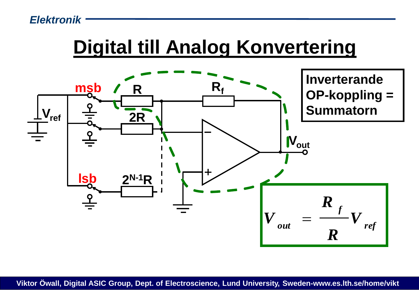#### **Digital till Analog Konvertering**

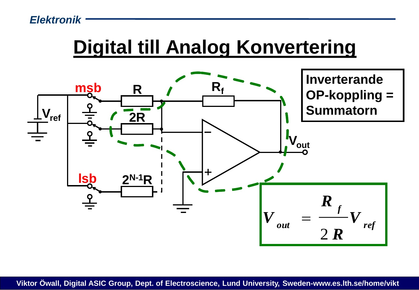#### **Digital till Analog Konvertering**

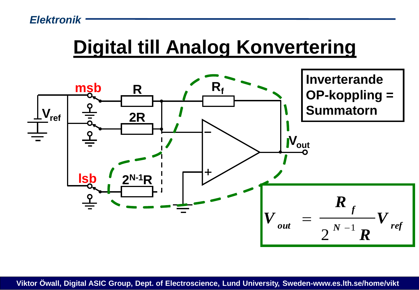#### **Digital till Analog Konvertering**

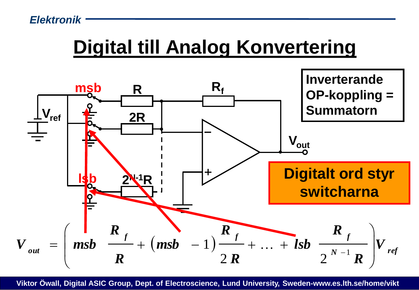### **Digital till Analog Konvertering**

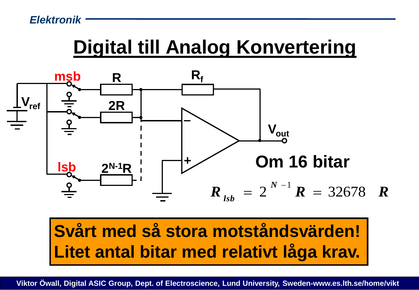### **Digital till Analog Konvertering**



#### **Svårt med så stora motståndsvärden! Litet antal bitar med relativt låga krav.**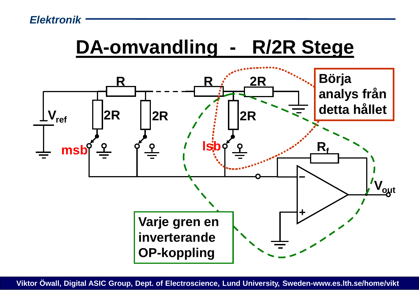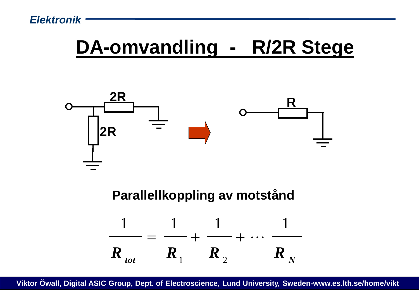### **DA-omvandling - R/2R Stege**

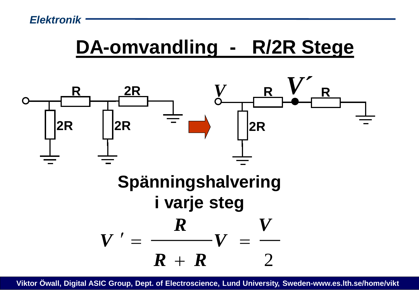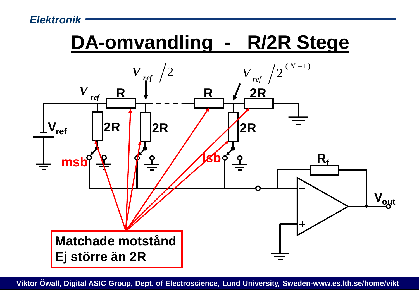## **DA-omvandling - R/2R Stege**

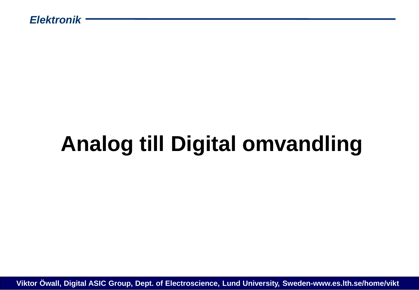# **Analog till Digital omvandling**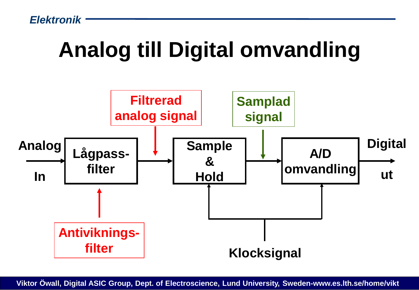## **Analog till Digital omvandling**

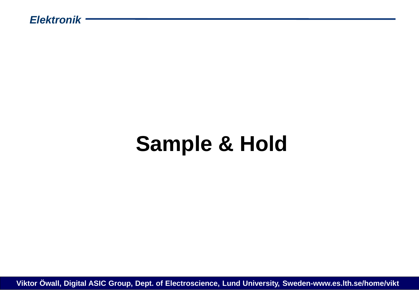## **Sample & Hold**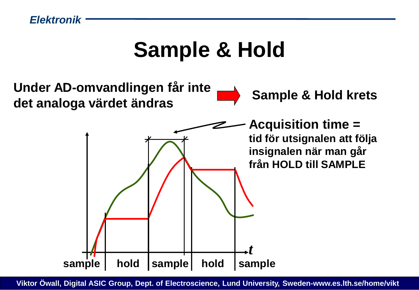### **Sample & Hold**

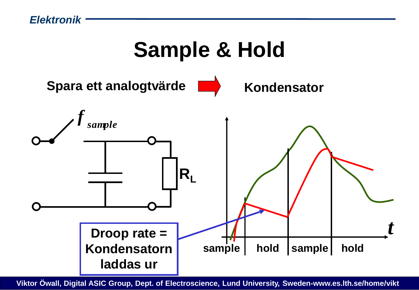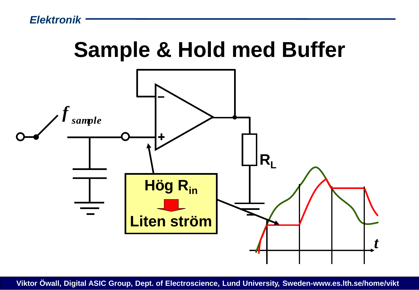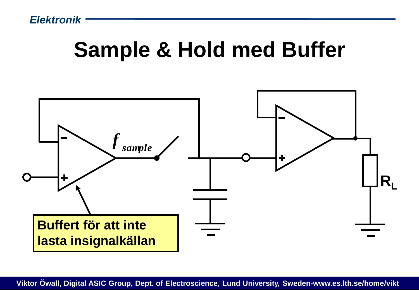### **Sample & Hold med Buffer**

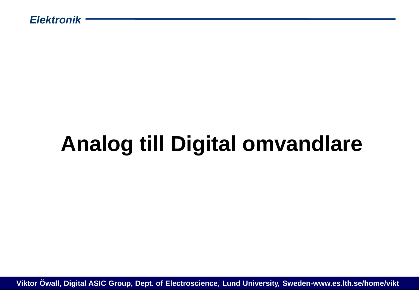# **Analog till Digital omvandlare**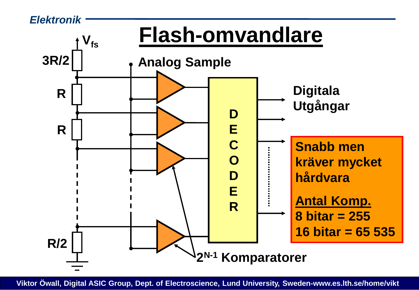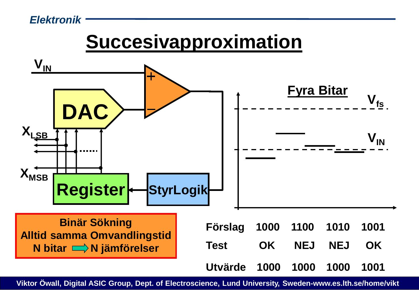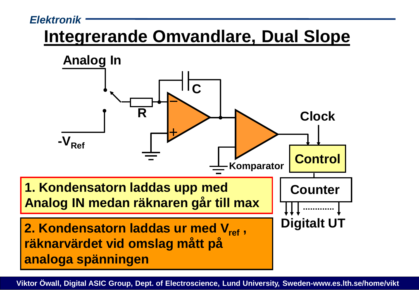#### **Integrerande Omvandlare, Dual Slope**

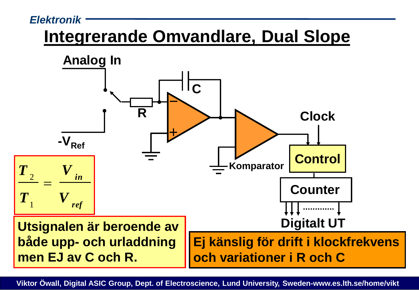#### **Integrerande Omvandlare, Dual Slope**

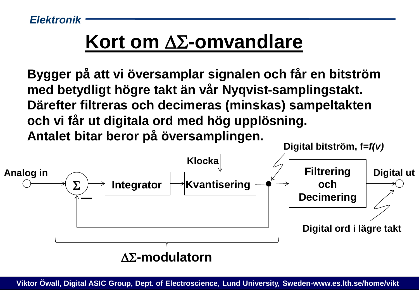### **Kort om ΔΣ-omvandlare**

**Bygger på att vi översamplar signalen och får en bitström med betydligt högre takt än vår Nyqvist-samplingstakt. Därefter filtreras och decimeras (minskas) sampeltakten och vi får ut digitala ord med hög upplösning. Antalet bitar beror på översamplingen.**

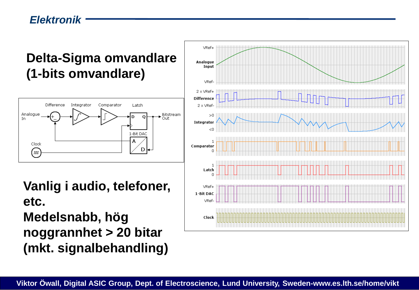#### **Delta-Sigma omvandlare (1-bits omvandlare)**



**Vanlig i audio, telefoner, etc. Medelsnabb, hög noggrannhet > 20 bitar (mkt. signalbehandling)**

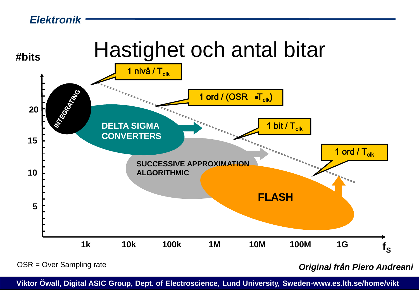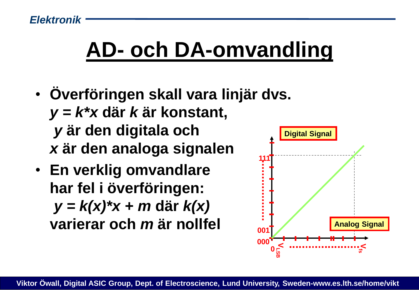## **AD- och DA-omvandling**

- **Överföringen skall vara linjär dvs.** *y = k\*x* **där** *k* **är konstant,** *y* **är den digitala och** *x* **är den analoga signalen**
- **En verklig omvandlare har fel i överföringen:** *y = k(x)\*x + m* **där** *k(x)* **varierar och** *m* **är nollfel**

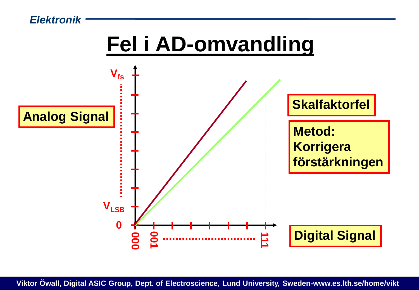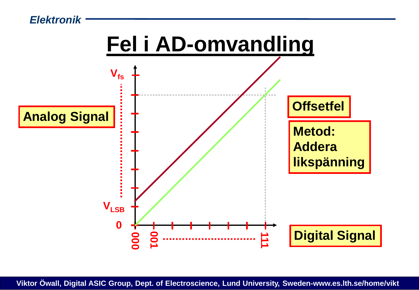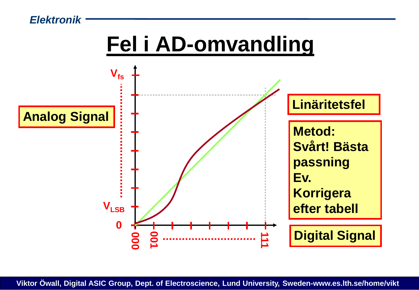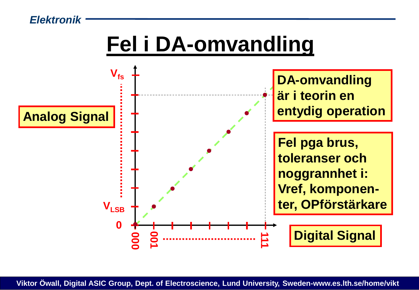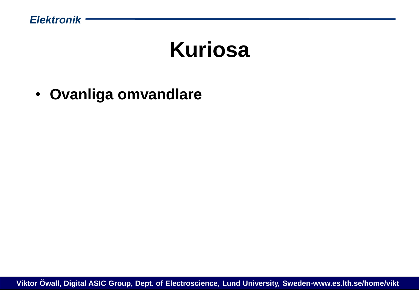### **Kuriosa**

• **Ovanliga omvandlare**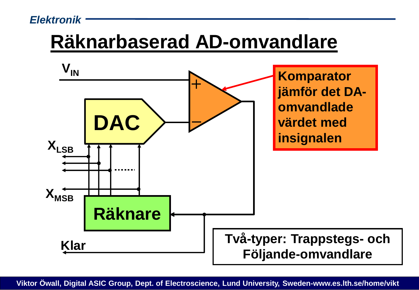### **Räknarbaserad AD-omvandlare**

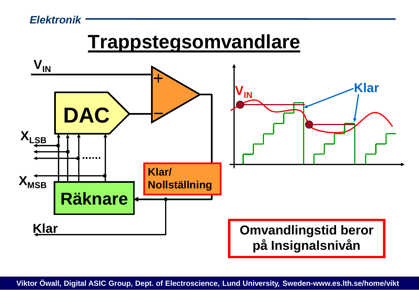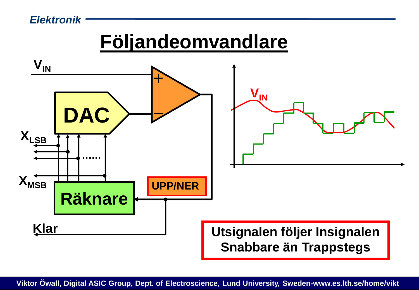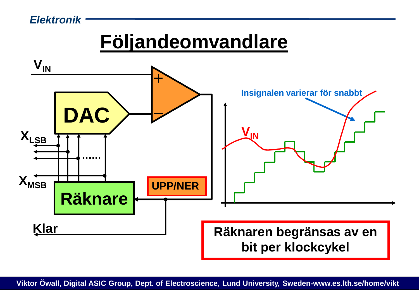### **Följandeomvandlare**

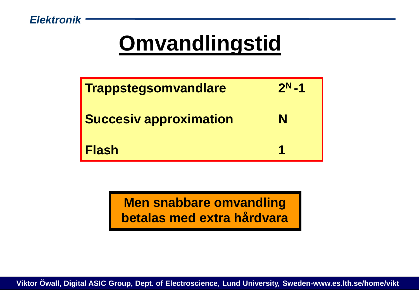## **Omvandlingstid**

| <b>Trappstegsomvandlare</b>   | $2^N - 1$ |
|-------------------------------|-----------|
| <b>Succesiv approximation</b> | N         |
| Flash                         |           |

**Men snabbare omvandling betalas med extra hårdvara**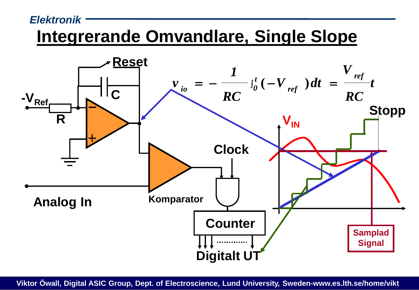#### *Elektronik* **Integrerande Omvandlare, Single Slope**